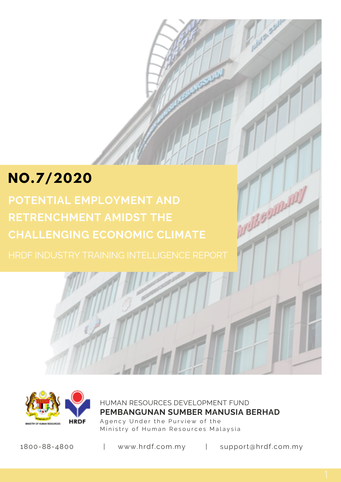# **NO.7/2020**

**POTENTIAL EMPLOYMENT AND RETRENCHMENT AMIDST THE CHALLENGING ECONOMIC CLIMATE**



HUMAN RESOURCES DEVELOPMENT FUND Agency Under the Purview of the Ministry of Human Resources Malaysia **PEMBANGUNAN SUMBER MANUSIA BERHAD**

1800-88-4800 | www.hrdf.com.my | support@hrdf.com.my

nu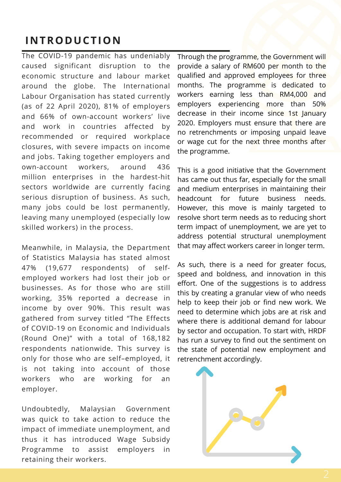### **INTRODUCTION**

The COVID-19 pandemic has undeniably caused significant disruption to the economic structure and labour market around the globe. The International Labour Organisation has stated currently (as of 22 April 2020), 81% of employers and 66% of own-account workers' live and work in countries affected by recommended or required workplace closures, with severe impacts on income and jobs. Taking together employers and own-account workers, around 436 million enterprises in the hardest-hit sectors worldwide are currently facing serious disruption of business. As such, many jobs could be lost permanently, leaving many unemployed (especially low skilled workers) in the process.

Meanwhile, in Malaysia, the Department of Statistics Malaysia has stated almost 47% (19,677 respondents) of selfemployed workers had lost their job or businesses. As for those who are still working, 35% reported a decrease in income by over 90%. This result was gathered from survey titled "The Effects of COVID-19 on Economic and Individuals (Round One)" with a total of 168,182 respondents nationwide. This survey is only for those who are self–employed, it is not taking into account of those workers who are working for an employer.

Undoubtedly, Malaysian Government was quick to take action to reduce the impact of immediate unemployment, and thus it has introduced Wage Subsidy Programme to assist employers in retaining their workers.

Through the programme, the Government will provide a salary of RM600 per month to the qualified and approved employees for three months. The programme is dedicated to workers earning less than RM4,000 and employers experiencing more than 50% decrease in their income since 1st January 2020. Employers must ensure that there are no retrenchments or imposing unpaid leave or wage cut for the next three months after the programme.

This is a good initiative that the Government has came out thus far, especially for the small and medium enterprises in maintaining their headcount for future business needs. However, this move is mainly targeted to resolve short term needs as to reducing short term impact of unemployment, we are yet to address potential structural unemployment that may affect workers career in longer term.

As such, there is a need for greater focus, speed and boldness, and innovation in this effort. One of the suggestions is to address this by creating a granular view of who needs help to keep their job or find new work. We need to determine which jobs are at risk and where there is additional demand for labour by sector and occupation. To start with, HRDF has run a survey to find out the sentiment on the state of potential new employment and retrenchment accordingly.

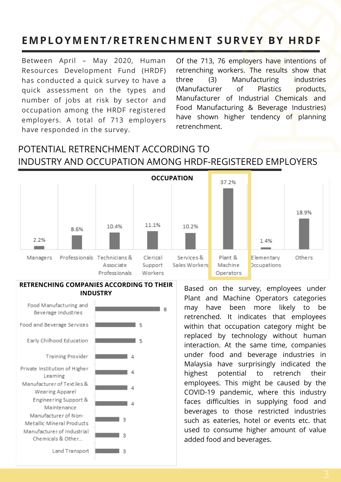## **EMPLOYMENT/RETRENCHMENT SURVEY BY HRDF**

Between April – May 2020, Human Resources Development Fund (HRDF) has conducted a quick survey to have a quick assessment on the types and number of jobs at risk by sector and occupation among the HRDF registered employers. A total of 713 employers have responded in the survey.

Of the 713, 76 employers have intentions of retrenching workers. The results show that three (3) Manufacturing industries (Manufacturer of Plastics products, Manufacturer of Industrial Chemicals and Food Manufacturing & Beverage Industries) have shown higher tendency of planning retrenchment.

### POTENTIAL RETRENCHMENT ACCORDING TO INDUSTRY AND OCCUPATION AMONG HRDF-REGISTERED EMPLOYERS



#### **RETRENCHING COMPANIES ACCORDING TO THEIR INDUSTRY**



Based on the survey, employees under Plant and Machine Operators categories may have been more likely to be retrenched. It indicates that employees within that occupation category might be replaced by technology without human interaction. At the same time, companies under food and beverage industries in Malaysia have surprisingly indicated the highest potential to retrench their employees. This might be caused by the COVID-19 pandemic, where this industry faces difficulties in supplying food and beverages to those restricted industries such as eateries, hotel or events etc. that used to consume higher amount of value added food and beverages.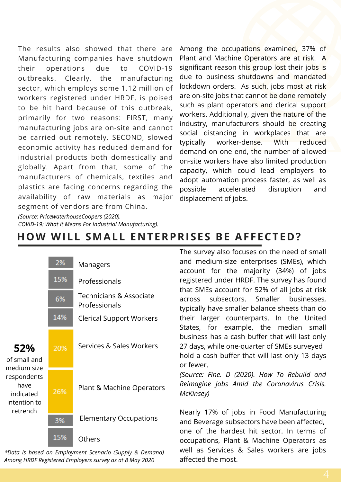The results also showed that there are Manufacturing companies have shutdown their operations due to COVID-19 outbreaks. Clearly, the manufacturing sector, which employs some 1.12 million of workers registered under HRDF, is poised to be hit hard because of this outbreak, primarily for two reasons: FIRST, many manufacturing jobs are on-site and cannot be carried out remotely. SECOND, slowed economic activity has reduced demand for industrial products both domestically and globally. Apart from that, some of the manufacturers of chemicals, textiles and plastics are facing concerns regarding the availability of raw materials as major segment of vendors are from China.

Among the occupations examined, 37% of Plant and Machine Operators are at risk. A significant reason this group lost their jobs is due to business shutdowns and mandated lockdown orders. As such, jobs most at risk are on-site jobs that cannot be done remotely such as plant operators and clerical support workers. Additionally, given the nature of the industry, manufacturers should be creating social distancing in workplaces that are typically worker-dense. With reduced demand on one end, the number of allowed on-site workers have also limited production capacity, which could lead employers to adopt automation process faster, as well as possible accelerated disruption and displacement of jobs.

*(Source: PricewaterhouseCoopers (2020).*

*COVID-19: What It Means For Industrial Manufacturing).*

| 52%<br>of small and<br>medium size<br>respondents<br>have<br>indicated<br>intention to<br>retrench | 2%  | Managers                                 |
|----------------------------------------------------------------------------------------------------|-----|------------------------------------------|
|                                                                                                    | 15% | Professionals                            |
|                                                                                                    | 6%  | Technicians & Associate<br>Professionals |
|                                                                                                    | 14% | <b>Clerical Support Workers</b>          |
|                                                                                                    | 20% | Services & Sales Workers                 |
|                                                                                                    | 26% | Plant & Machine Operators                |
|                                                                                                    | 3%  | <b>Elementary Occupations</b>            |
|                                                                                                    | 15% | Others                                   |

*\*Data is based on Employment Scenario (Supply & Demand) Among HRDF Registered Employers survey as at 8 May 2020*

The survey also focuses on the need of small and medium-size enterprises (SMEs), which account for the majority (34%) of jobs registered under HRDF. The survey has found that SMEs account for 52% of all jobs at risk across subsectors. Smaller businesses, typically have smaller balance sheets than do their larger counterparts. In the United States, for example, the median small business has a cash buffer that will last only 27 days, while one-quarter of SMEs surveyed hold a cash buffer that will last only 13 days or fewer.

*(Source: Fine. D (2020). How To Rebuild and Reimagine Jobs Amid the Coronavirus Crisis. McKinsey)*

Nearly 17% of jobs in Food Manufacturing and Beverage subsectors have been affected, one of the hardest hit sector. In terms of occupations, Plant & Machine Operators as well as Services & Sales workers are jobs affected the most.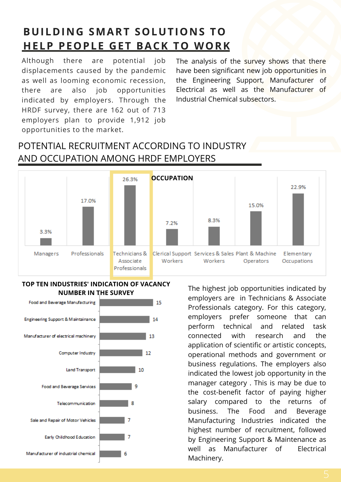## **BUILDING SMART SOLUTIONS TO HELP PEOPLE GET BACK TO WORK**

Although there are potential job displacements caused by the pandemic as well as looming economic recession, there are also job opportunities indicated by employers. Through the HRDF survey, there are 162 out of 713 employers plan to provide 1,912 job opportunities to the market.

The analysis of the survey shows that there have been significant new job opportunities in the Engineering Support, Manufacturer of Electrical as well as the Manufacturer of Industrial Chemical subsectors.

### POTENTIAL RECRUITMENT ACCORDING TO INDUSTRY AND OCCUPATION AMONG HRDF EMPLOYERS



#### **TOP TEN INDUSTRIES' INDICATION OF VACANCY NUMBER IN THE SURVEY**



The highest job opportunities indicated by employers are in Technicians & Associate Professionals category. For this category, employers prefer someone that can perform technical and related task connected with research and the application of scientific or artistic concepts, operational methods and government or business regulations. The employers also indicated the lowest job opportunity in the manager category . This is may be due to the cost-benefit factor of paying higher salary compared to the returns of business. The Food and Beverage Manufacturing Industries indicated the highest number of recruitment, followed by Engineering Support & Maintenance as well as Manufacturer of Electrical Machinery.